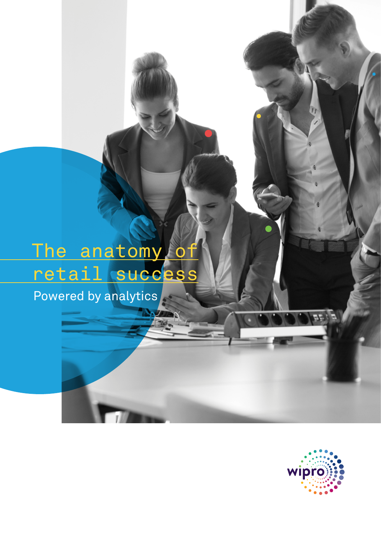# The anatomy of retail success

Powered by analytics

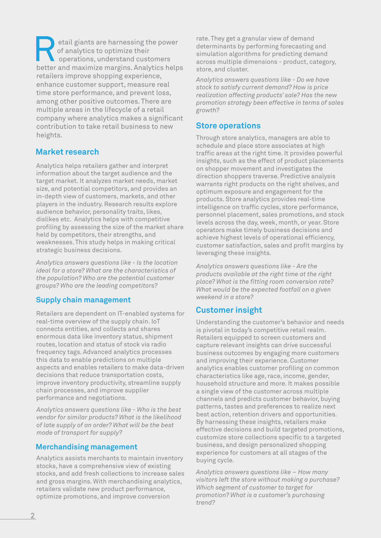etail giants are harnessing the power of analytics to optimize their  $\Box$  operations, understand customers better and maximize margins. Analytics helps retailers improve shopping experience, enhance customer support, measure real time store performance, and prevent loss, among other positive outcomes. There are multiple areas in the lifecycle of a retail company where analytics makes a significant contribution to take retail business to new heights.

### **Market research**

Analytics helps retailers gather and interpret information about the target audience and the target market. It analyzes market needs, market size, and potential competitors, and provides an in-depth view of customers, markets, and other players in the industry. Research results explore audience behavior, personality traits, likes, dislikes etc. Analytics helps with competitive profiling by assessing the size of the market share held by competitors, their strengths, and weaknesses. This study helps in making critical strategic business decisions.

*Analytics answers questions like - Is the location ideal for a store? What are the characteristics of the population? Who are the potential customer groups? Who are the leading competitors?* 

#### **Supply chain management**

Retailers are dependent on IT-enabled systems for real-time overview of the supply chain. IoT connects entities, and collects and shares enormous data like inventory status, shipment routes, location and status of stock via radio frequency tags. Advanced analytics processes this data to enable predictions on multiple aspects and enables retailers to make data-driven decisions that reduce transportation costs, improve inventory productivity, streamline supply chain processes, and improve supplier performance and negotiations.

*Analytics answers questions like - Who is the best vendor for similar products? What is the likelihood of late supply of an order? What will be the best mode of transport for supply?*

#### **Merchandising management**

Analytics assists merchants to maintain inventory stocks, have a comprehensive view of existing stocks, and add fresh collections to increase sales and gross margins. With merchandising analytics, retailers validate new product performance, optimize promotions, and improve conversion

rate. They get a granular view of demand determinants by performing forecasting and simulation algorithms for predicting demand across multiple dimensions - product, category, store, and cluster.

*Analytics answers questions like - Do we have stock to satisfy current demand? How is price realization affecting products' sale? Has the new promotion strategy been effective in terms of sales growth?*

#### **Store operations**

Through store analytics, managers are able to schedule and place store associates at high traffic areas at the right time. It provides powerful insights, such as the effect of product placements on shopper movement and investigates the direction shoppers traverse. Predictive analysis warrants right products on the right shelves, and optimum exposure and engagement for the products. Store analytics provides real-time intelligence on traffic cycles, store performance, personnel placement, sales promotions, and stock levels across the day, week, month, or year. Store operators make timely business decisions and achieve highest levels of operational efficiency, customer satisfaction, sales and profit margins by leveraging these insights.

*Analytics answers questions like - Are the products available at the right time at the right place? What is the fitting room conversion rate? What would be the expected footfall on a given weekend in a store?*

## **Customer insight**

Understanding the customer's behavior and needs is pivotal in today's competitive retail realm. Retailers equipped to screen customers and capture relevant insights can drive successful business outcomes by engaging more customers and improving their experience. Customer analytics enables customer profiling on common characteristics like age, race, income, gender, household structure and more. It makes possible a single view of the customer across multiple channels and predicts customer behavior, buying patterns, tastes and preferences to realize next best action, retention drivers and opportunities. By harnessing these insights, retailers make effective decisions and build targeted promotions, customize store collections specific to a targeted business, and design personalized shopping experience for customers at all stages of the buying cycle.

*Analytics answers questions like – How many visitors left the store without making a purchase? Which segment of customer to target for promotion? What is a customer's purchasing trend?*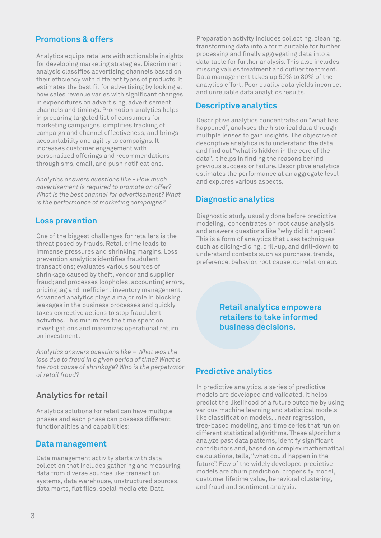#### **Promotions & offers**

Analytics equips retailers with actionable insights for developing marketing strategies. Discriminant analysis classifies advertising channels based on their efficiency with different types of products. It estimates the best fit for advertising by looking at how sales revenue varies with significant changes in expenditures on advertising, advertisement channels and timings. Promotion analytics helps in preparing targeted list of consumers for marketing campaigns, simplifies tracking of campaign and channel effectiveness, and brings accountability and agility to campaigns. It increases customer engagement with personalized offerings and recommendations through sms, email, and push notifications.

*Analytics answers questions like - How much advertisement is required to promote an offer? What is the best channel for advertisement? What is the performance of marketing campaigns?*

#### **Loss prevention**

One of the biggest challenges for retailers is the threat posed by frauds. Retail crime leads to immense pressures and shrinking margins. Loss prevention analytics identifies fraudulent transactions; evaluates various sources of shrinkage caused by theft, vendor and supplier fraud; and processes loopholes, accounting errors, pricing lag and inefficient inventory management. Advanced analytics plays a major role in blocking leakages in the business processes and quickly takes corrective actions to stop fraudulent activities. This minimizes the time spent on investigations and maximizes operational return on investment.

*Analytics answers questions like – What was the loss due to fraud in a given period of time? What is the root cause of shrinkage? Who is the perpetrator of retail fraud?*

#### **Analytics for retail**

Analytics solutions for retail can have multiple phases and each phase can possess different functionalities and capabilities:

#### **Data management**

Data management activity starts with data collection that includes gathering and measuring data from diverse sources like transaction systems, data warehouse, unstructured sources, data marts, flat files, social media etc. Data

Preparation activity includes collecting, cleaning, transforming data into a form suitable for further processing and finally aggregating data into a data table for further analysis. This also includes missing values treatment and outlier treatment. Data management takes up 50% to 80% of the analytics effort. Poor quality data yields incorrect and unreliable data analytics results.

#### **Descriptive analytics**

Descriptive analytics concentrates on "what has happened", analyses the historical data through multiple lenses to gain insights. The objective of descriptive analytics is to understand the data and find out "what is hidden in the core of the data". It helps in finding the reasons behind previous success or failure. Descriptive analytics estimates the performance at an aggregate level and explores various aspects.

### **Diagnostic analytics**

Diagnostic study, usually done before predictive modeling, concentrates on root cause analysis and answers questions like "why did it happen". This is a form of analytics that uses techniques such as slicing-dicing, drill-up, and drill-down to understand contexts such as purchase, trends, preference, behavior, root cause, correlation etc.

> **Retail analytics empowers retailers to take informed business decisions.**

#### **Predictive analytics**

In predictive analytics, a series of predictive models are developed and validated. It helps predict the likelihood of a future outcome by using various machine learning and statistical models like classification models, linear regression, tree-based modeling, and time series that run on different statistical algorithms. These algorithms analyze past data patterns, identify significant contributors and, based on complex mathematical calculations, tells, "what could happen in the future". Few of the widely developed predictive models are churn prediction, propensity model, customer lifetime value, behavioral clustering, and fraud and sentiment analysis.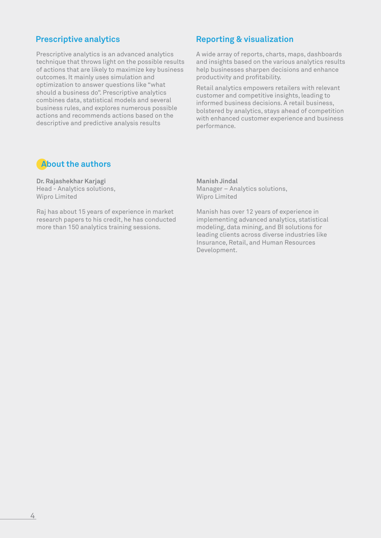Prescriptive analytics is an advanced analytics technique that throws light on the possible results of actions that are likely to maximize key business outcomes. It mainly uses simulation and optimization to answer questions like "what should a business do". Prescriptive analytics combines data, statistical models and several business rules, and explores numerous possible actions and recommends actions based on the descriptive and predictive analysis results

#### **Prescriptive analytics Reporting & visualization**

A wide array of reports, charts, maps, dashboards and insights based on the various analytics results help businesses sharpen decisions and enhance productivity and profitability.

Retail analytics empowers retailers with relevant customer and competitive insights, leading to informed business decisions. A retail business, bolstered by analytics, stays ahead of competition with enhanced customer experience and business performance.

# **About the authors**

**Dr. Rajashekhar Karjagi** Head - Analytics solutions, Wipro Limited

Raj has about 15 years of experience in market research papers to his credit, he has conducted more than 150 analytics training sessions.

**Manish Jindal** Manager – Analytics solutions, Wipro Limited

Manish has over 12 years of experience in implementing advanced analytics, statistical modeling, data mining, and BI solutions for leading clients across diverse industries like Insurance, Retail, and Human Resources Development.